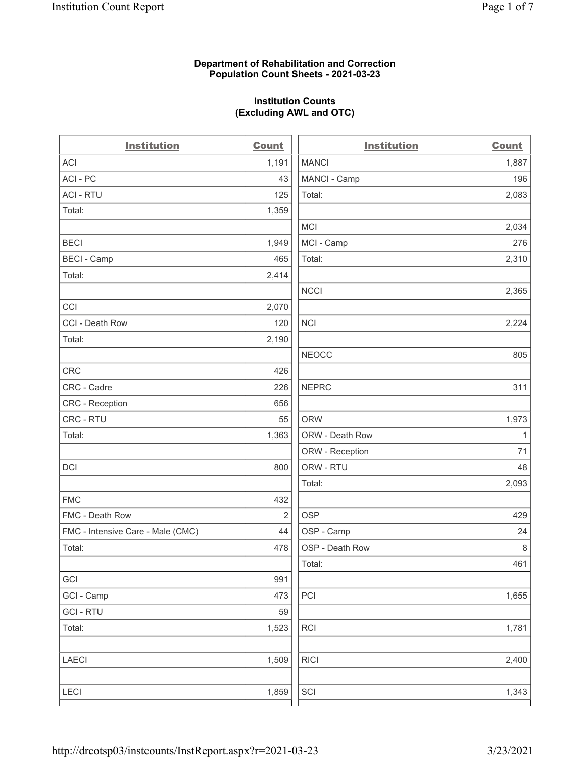#### Department of Rehabilitation and Correction Population Count Sheets - 2021-03-23

#### Institution Counts (Excluding AWL and OTC)

| <b>Institution</b>                | <b>Count</b>   | <b>Institution</b> | <b>Count</b> |
|-----------------------------------|----------------|--------------------|--------------|
| ACI                               | 1,191          | <b>MANCI</b>       | 1,887        |
| ACI - PC                          | 43             | MANCI - Camp       | 196          |
| <b>ACI - RTU</b>                  | 125            | Total:             | 2,083        |
| Total:                            | 1,359          |                    |              |
|                                   |                | <b>MCI</b>         | 2,034        |
| <b>BECI</b>                       | 1,949          | MCI - Camp         | 276          |
| <b>BECI - Camp</b>                | 465            | Total:             | 2,310        |
| Total:                            | 2,414          |                    |              |
|                                   |                | <b>NCCI</b>        | 2,365        |
| CCI                               | 2,070          |                    |              |
| CCI - Death Row                   | 120            | <b>NCI</b>         | 2,224        |
| Total:                            | 2,190          |                    |              |
|                                   |                | <b>NEOCC</b>       | 805          |
| <b>CRC</b>                        | 426            |                    |              |
| CRC - Cadre                       | 226            | <b>NEPRC</b>       | 311          |
| CRC - Reception                   | 656            |                    |              |
| CRC - RTU                         | 55             | <b>ORW</b>         | 1,973        |
| Total:                            | 1,363          | ORW - Death Row    | $\mathbf{1}$ |
|                                   |                | ORW - Reception    | 71           |
| DCI                               | 800            | ORW - RTU          | 48           |
|                                   |                | Total:             | 2,093        |
| <b>FMC</b>                        | 432            |                    |              |
| FMC - Death Row                   | $\overline{2}$ | <b>OSP</b>         | 429          |
| FMC - Intensive Care - Male (CMC) | 44             | OSP - Camp         | 24           |
| Total:                            | 478            | OSP - Death Row    | 8            |
|                                   |                | Total:             | 461          |
| GCI                               | 991            |                    |              |
| GCI - Camp                        | 473            | $\mathsf{PCI}$     | 1,655        |
| <b>GCI - RTU</b>                  | 59             |                    |              |
| Total:                            | 1,523          | RCI                | 1,781        |
| <b>LAECI</b>                      | 1,509          | <b>RICI</b>        | 2,400        |
| <b>LECI</b>                       | 1,859          | SCI                | 1,343        |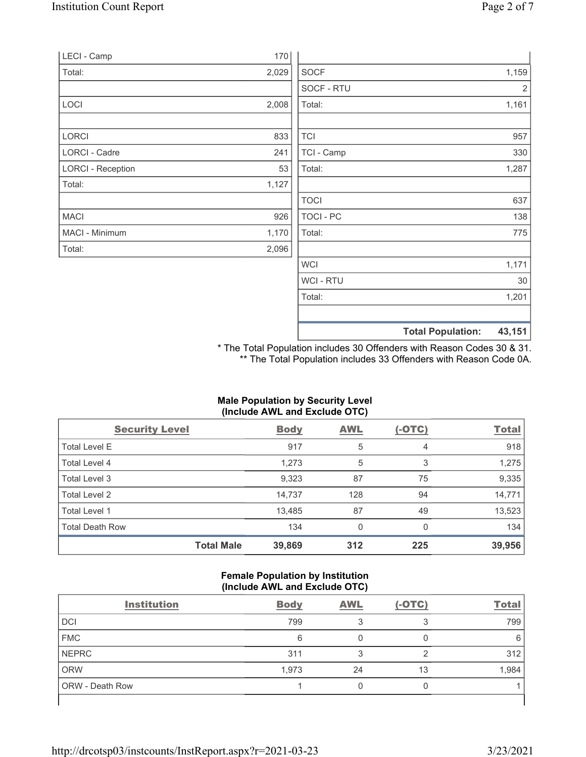|       | <b>Total Population:</b> | 43,151                              |
|-------|--------------------------|-------------------------------------|
|       |                          |                                     |
|       | Total:                   | 1,201                               |
|       | WCI - RTU                | 30                                  |
|       | <b>WCI</b>               | 1,171                               |
| 2,096 |                          |                                     |
| 1,170 | Total:                   | 775                                 |
| 926   | TOCI - PC                | 138                                 |
|       | <b>TOCI</b>              | 637                                 |
| 1,127 |                          |                                     |
| 53    | Total:                   | 1,287                               |
| 241   | TCI - Camp               | 330                                 |
| 833   | <b>TCI</b>               | 957                                 |
|       |                          | 1,161                               |
|       |                          | 2                                   |
|       |                          | 1,159                               |
| 170   |                          |                                     |
|       | 2,029<br>2,008           | <b>SOCF</b><br>SOCF - RTU<br>Total: |

\* The Total Population includes 30 Offenders with Reason Codes 30 & 31. \*\* The Total Population includes 33 Offenders with Reason Code 0A.

# Male Population by Security Level (Include AWL and Exclude OTC)

| <b>Security Level</b>  |                   | <b>Body</b> | AWL | $(-OTC)$ | <b>Total</b> |
|------------------------|-------------------|-------------|-----|----------|--------------|
| <b>Total Level E</b>   |                   | 917         | 5   | 4        | 918          |
| Total Level 4          |                   | 1,273       | 5   | 3        | 1,275        |
| Total Level 3          |                   | 9,323       | 87  | 75       | 9,335        |
| Total Level 2          |                   | 14,737      | 128 | 94       | 14,771       |
| Total Level 1          |                   | 13,485      | 87  | 49       | 13,523       |
| <b>Total Death Row</b> |                   | 134         | 0   | 0        | 134          |
|                        | <b>Total Male</b> | 39,869      | 312 | 225      | 39,956       |

#### Female Population by Institution (Include AWL and Exclude OTC)

| <b>Institution</b> | <b>Body</b> | <b>AWL</b> | $(-OTC)$ | <b>Total</b> |
|--------------------|-------------|------------|----------|--------------|
| DCI                | 799         |            | ◠        | 799          |
| <b>FMC</b>         | 6           |            |          | 6            |
| <b>NEPRC</b>       | 311         |            | ◠        | 312          |
| <b>ORW</b>         | 1,973       | 24         | 13       | 1,984        |
| ORW - Death Row    |             |            |          |              |
|                    |             |            |          |              |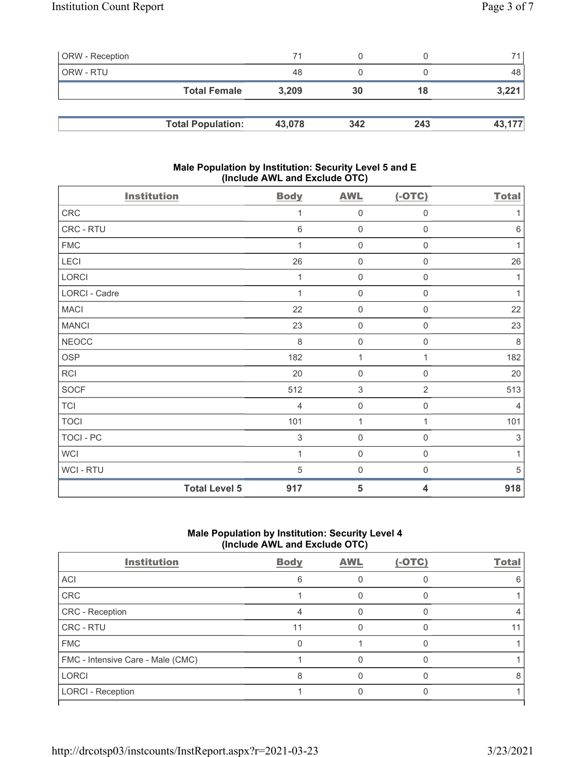| <b>ORW</b> - Reception |                          | 71     |     |     | 71 I   |
|------------------------|--------------------------|--------|-----|-----|--------|
| ORW - RTU              |                          | 48     |     |     | 48     |
|                        | <b>Total Female</b>      | 3.209  | 30  | 18  | 3,221  |
|                        |                          |        |     |     |        |
|                        | <b>Total Population:</b> | 43,078 | 342 | 243 | 43,177 |

#### Male Population by Institution: Security Level 5 and E (Include AWL and Exclude OTC)

| <b>Institution</b> |                      | <b>Body</b>     | <b>AWL</b>                | $(-OTC)$                | <b>Total</b>   |
|--------------------|----------------------|-----------------|---------------------------|-------------------------|----------------|
| CRC                |                      | 1               | $\mathsf{O}\xspace$       | $\mathsf{O}\xspace$     | 1              |
| CRC - RTU          |                      | $6\phantom{1}6$ | $\mathbf 0$               | $\boldsymbol{0}$        | $\,6\,$        |
| <b>FMC</b>         |                      | 1               | $\mathbf 0$               | $\mathbf 0$             | 1              |
| LECI               |                      | 26              | $\mathbf 0$               | $\mathbf 0$             | 26             |
| LORCI              |                      | 1               | $\mathbf 0$               | $\boldsymbol{0}$        | 1              |
| LORCI - Cadre      |                      | 1               | $\mathbf 0$               | $\boldsymbol{0}$        | 1              |
| <b>MACI</b>        |                      | 22              | $\mathsf{O}\xspace$       | $\boldsymbol{0}$        | 22             |
| <b>MANCI</b>       |                      | 23              | $\mathsf{O}\xspace$       | $\mathsf 0$             | 23             |
| <b>NEOCC</b>       |                      | $\,8\,$         | $\mathsf{O}\xspace$       | $\boldsymbol{0}$        | 8              |
| <b>OSP</b>         |                      | 182             | 1                         | 1                       | 182            |
| <b>RCI</b>         |                      | 20              | $\mathbf 0$               | $\boldsymbol{0}$        | 20             |
| <b>SOCF</b>        |                      | 512             | $\ensuremath{\mathsf{3}}$ | $\overline{2}$          | 513            |
| <b>TCI</b>         |                      | $\overline{4}$  | $\mathsf{O}\xspace$       | $\boldsymbol{0}$        | $\overline{4}$ |
| <b>TOCI</b>        |                      | 101             | 1                         | 1                       | 101            |
| TOCI - PC          |                      | $\sqrt{3}$      | $\mathbf 0$               | $\mathbf 0$             | $\sqrt{3}$     |
| <b>WCI</b>         |                      | 1               | $\mathbf 0$               | $\mathbf 0$             | 1              |
| WCI - RTU          |                      | 5               | $\mathbf 0$               | $\mathbf 0$             | 5              |
|                    | <b>Total Level 5</b> | 917             | 5                         | $\overline{\mathbf{4}}$ | 918            |

## Male Population by Institution: Security Level 4 (Include AWL and Exclude OTC)

| <b>Institution</b>                | <b>Body</b> | <b>AWL</b> | $(-OTC)$ | <b>Total</b> |
|-----------------------------------|-------------|------------|----------|--------------|
| <b>ACI</b>                        | հ           |            |          |              |
| CRC                               |             |            |          |              |
| <b>CRC</b> - Reception            |             |            |          |              |
| CRC - RTU                         | 11          |            |          |              |
| <b>FMC</b>                        |             |            |          |              |
| FMC - Intensive Care - Male (CMC) |             |            |          |              |
| <b>LORCI</b>                      | 8           |            |          | 8            |
| <b>LORCI - Reception</b>          |             |            |          |              |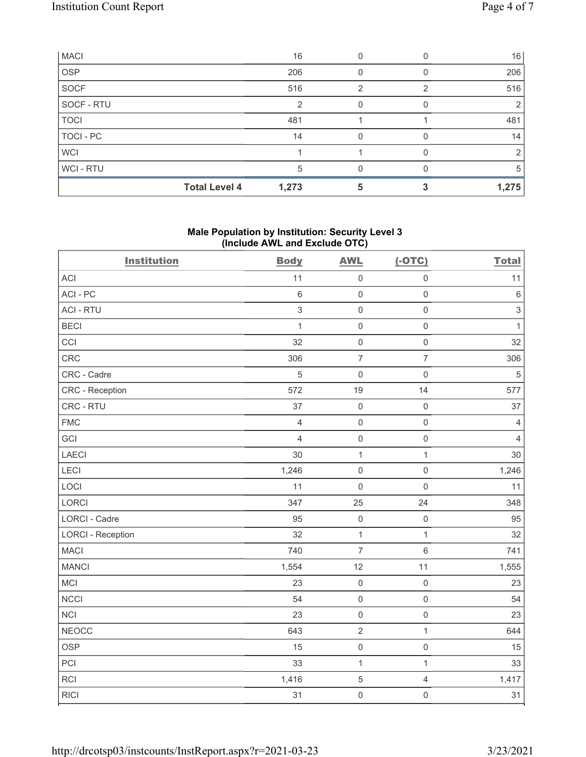| <b>MACI</b> |                      | 16    |   | 16    |
|-------------|----------------------|-------|---|-------|
| <b>OSP</b>  |                      | 206   |   | 206   |
| <b>SOCF</b> |                      | 516   | っ | 516   |
| SOCF - RTU  |                      | 2     |   | 2     |
| <b>TOCI</b> |                      | 481   |   | 481   |
| TOCI - PC   |                      | 14    |   | 14    |
| <b>WCI</b>  |                      |       |   | 2     |
| WCI - RTU   |                      | 5     |   | 5     |
|             | <b>Total Level 4</b> | 1,273 |   | 1,275 |

#### Male Population by Institution: Security Level 3 (Include AWL and Exclude OTC)

| <b>Institution</b>       | <b>Body</b>    | <b>AWL</b>          | $(-OTC)$            | <b>Total</b>              |
|--------------------------|----------------|---------------------|---------------------|---------------------------|
| ACI                      | 11             | $\mathbf 0$         | $\mathsf 0$         | 11                        |
| ACI-PC                   | 6              | $\mathbf 0$         | $\mathbf 0$         | $\,6\,$                   |
| <b>ACI - RTU</b>         | $\,$ 3 $\,$    | $\mathbf 0$         | $\mathsf{O}\xspace$ | $\ensuremath{\mathsf{3}}$ |
| <b>BECI</b>              | $\mathbf{1}$   | $\mathbf 0$         | $\mathsf{O}\xspace$ | $\mathbf{1}$              |
| CCI                      | 32             | $\mathbf 0$         | $\mathsf{O}\xspace$ | 32                        |
| CRC                      | 306            | $\overline{7}$      | $\overline{7}$      | 306                       |
| CRC - Cadre              | 5              | $\mathbf 0$         | $\mathsf{O}\xspace$ | $\,$ 5 $\,$               |
| CRC - Reception          | 572            | 19                  | 14                  | 577                       |
| CRC - RTU                | 37             | $\mathbf 0$         | $\mathsf 0$         | 37                        |
| <b>FMC</b>               | $\overline{4}$ | $\mathbf 0$         | $\mathsf{O}\xspace$ | $\overline{4}$            |
| GCI                      | $\overline{4}$ | $\mathbf 0$         | $\mathsf 0$         | $\overline{4}$            |
| LAECI                    | 30             | $\mathbf{1}$        | $\mathbf{1}$        | 30                        |
| LECI                     | 1,246          | $\mathbf 0$         | $\mathsf{O}\xspace$ | 1,246                     |
| LOCI                     | 11             | $\mathbf 0$         | $\mathsf 0$         | 11                        |
| LORCI                    | 347            | 25                  | 24                  | 348                       |
| LORCI - Cadre            | 95             | $\mathbf 0$         | $\mathsf{O}\xspace$ | 95                        |
| <b>LORCI - Reception</b> | 32             | $\mathbf 1$         | $\mathbf{1}$        | 32                        |
| <b>MACI</b>              | 740            | $\overline{7}$      | $\,6\,$             | 741                       |
| <b>MANCI</b>             | 1,554          | 12                  | 11                  | 1,555                     |
| MCI                      | 23             | $\mathbf 0$         | $\mathsf{O}\xspace$ | 23                        |
| NCCI                     | 54             | $\mathbf 0$         | $\mathsf{O}\xspace$ | 54                        |
| <b>NCI</b>               | 23             | $\mathsf 0$         | $\mathsf{O}\xspace$ | 23                        |
| <b>NEOCC</b>             | 643            | $\overline{2}$      | $\mathbf{1}$        | 644                       |
| <b>OSP</b>               | 15             | $\mathbf 0$         | $\mathsf 0$         | 15                        |
| PCI                      | 33             | $\mathbf{1}$        | $\mathbf{1}$        | 33                        |
| <b>RCI</b>               | 1,416          | $\overline{5}$      | $\overline{4}$      | 1,417                     |
| <b>RICI</b>              | 31             | $\mathsf{O}\xspace$ | $\mathsf{O}\xspace$ | 31                        |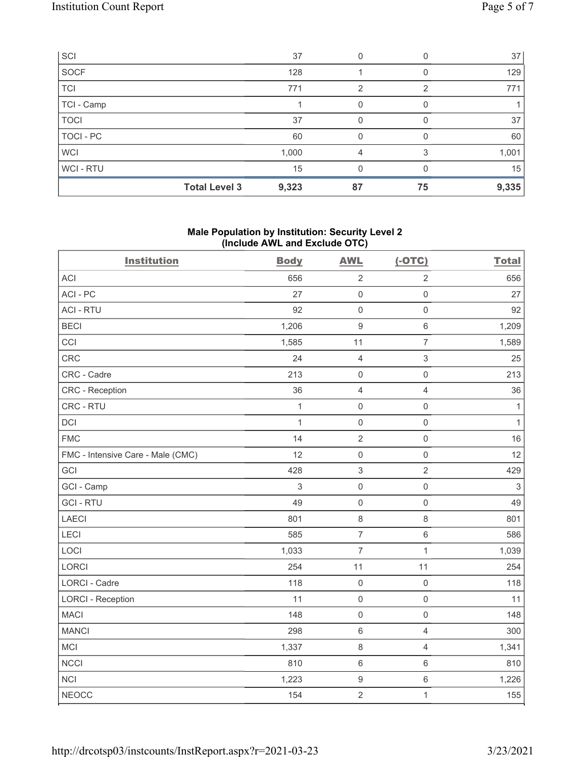| SCI         |                      | 37    |    |    | 37    |
|-------------|----------------------|-------|----|----|-------|
| <b>SOCF</b> |                      | 128   |    |    | 129   |
| <b>TCI</b>  |                      | 771   | 2  |    | 771   |
| TCI - Camp  |                      |       | 0  |    |       |
| <b>TOCI</b> |                      | 37    | 0  |    | 37    |
| TOCI - PC   |                      | 60    | O  |    | 60    |
| <b>WCI</b>  |                      | 1,000 |    |    | 1,001 |
| WCI - RTU   |                      | 15    | O  |    | 15    |
|             | <b>Total Level 3</b> | 9,323 | 87 | 75 | 9,335 |

#### Male Population by Institution: Security Level 2 (Include AWL and Exclude OTC)

| <b>Institution</b>                | <b>Body</b>  | <b>AWL</b>       | $(-OTC)$            | <b>Total</b> |
|-----------------------------------|--------------|------------------|---------------------|--------------|
| <b>ACI</b>                        | 656          | $\sqrt{2}$       | $\overline{2}$      | 656          |
| ACI-PC                            | 27           | $\mathbf 0$      | $\mathsf 0$         | 27           |
| <b>ACI - RTU</b>                  | 92           | $\mathbf 0$      | $\mathsf{O}\xspace$ | 92           |
| <b>BECI</b>                       | 1,206        | $\boldsymbol{9}$ | $\,6$               | 1,209        |
| CCI                               | 1,585        | 11               | $\overline{7}$      | 1,589        |
| CRC                               | 24           | $\sqrt{4}$       | 3                   | 25           |
| CRC - Cadre                       | 213          | $\mathbf 0$      | $\mathsf{O}\xspace$ | 213          |
| <b>CRC</b> - Reception            | 36           | $\overline{4}$   | $\overline{4}$      | 36           |
| CRC - RTU                         | $\mathbf 1$  | $\mathbf 0$      | $\mathsf{O}\xspace$ | $\mathbf{1}$ |
| <b>DCI</b>                        | $\mathbf{1}$ | $\mathbf 0$      | $\mathsf{O}\xspace$ | $\mathbf{1}$ |
| <b>FMC</b>                        | 14           | $\overline{2}$   | $\mathsf{O}\xspace$ | 16           |
| FMC - Intensive Care - Male (CMC) | 12           | $\mathbf 0$      | $\mathbf 0$         | 12           |
| GCI                               | 428          | $\sqrt{3}$       | $\overline{2}$      | 429          |
| GCI - Camp                        | 3            | $\mathbf 0$      | $\mathbf 0$         | 3            |
| <b>GCI-RTU</b>                    | 49           | $\mathbf 0$      | $\mathbf 0$         | 49           |
| <b>LAECI</b>                      | 801          | $\,8\,$          | $\,8\,$             | 801          |
| LECI                              | 585          | $\overline{7}$   | $\,6\,$             | 586          |
| LOCI                              | 1,033        | $\overline{7}$   | $\mathbf{1}$        | 1,039        |
| LORCI                             | 254          | 11               | 11                  | 254          |
| LORCI - Cadre                     | 118          | $\mathbf 0$      | $\mathsf{O}\xspace$ | 118          |
| <b>LORCI - Reception</b>          | 11           | $\mathsf 0$      | $\mathsf{O}\xspace$ | 11           |
| <b>MACI</b>                       | 148          | $\mathbf 0$      | $\mathsf{O}\xspace$ | 148          |
| <b>MANCI</b>                      | 298          | $6\,$            | $\overline{4}$      | 300          |
| MCI                               | 1,337        | $\,8\,$          | $\overline{4}$      | 1,341        |
| <b>NCCI</b>                       | 810          | $6\,$            | $\,6\,$             | 810          |
| <b>NCI</b>                        | 1,223        | $\boldsymbol{9}$ | $\,6$               | 1,226        |
| <b>NEOCC</b>                      | 154          | $\overline{2}$   | $\mathbf{1}$        | 155          |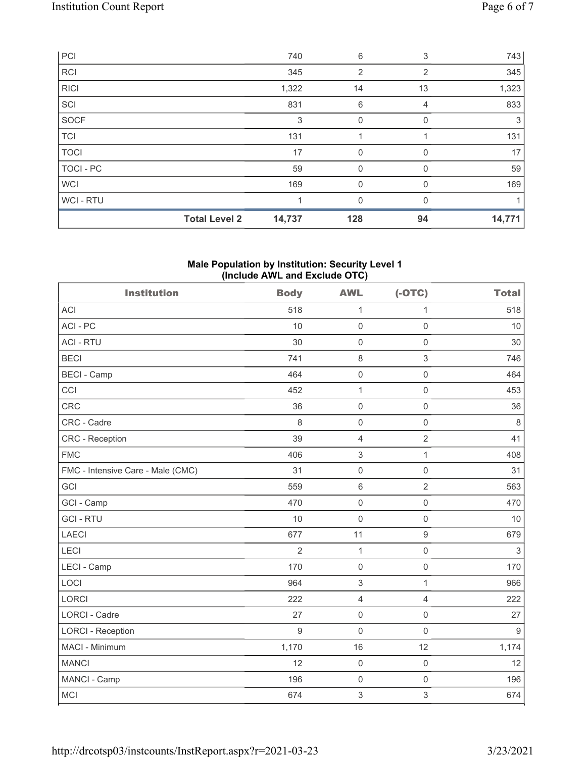| PCI         |                      | 740    | 6        | 3        | 743    |
|-------------|----------------------|--------|----------|----------|--------|
| <b>RCI</b>  |                      | 345    | 2        | 2        | 345    |
| <b>RICI</b> |                      | 1,322  | 14       | 13       | 1,323  |
| SCI         |                      | 831    | 6        | 4        | 833    |
| <b>SOCF</b> |                      | 3      | 0        |          | 3      |
| <b>TCI</b>  |                      | 131    |          |          | 131    |
| <b>TOCI</b> |                      | 17     | 0        | $\Omega$ | 17     |
| TOCI - PC   |                      | 59     | 0        | 0        | 59     |
| <b>WCI</b>  |                      | 169    | $\Omega$ | $\Omega$ | 169    |
| WCI - RTU   |                      |        | 0        |          |        |
|             | <b>Total Level 2</b> | 14,737 | 128      | 94       | 14,771 |

### Male Population by Institution: Security Level 1 (Include AWL and Exclude OTC)

| <b>Institution</b>                | <b>Body</b>    | <b>AWL</b>                | $(-OTC)$            | <b>Total</b>     |
|-----------------------------------|----------------|---------------------------|---------------------|------------------|
| <b>ACI</b>                        | 518            | $\mathbf{1}$              | 1                   | 518              |
| ACI-PC                            | 10             | $\mathbf 0$               | $\mathbf 0$         | 10               |
| <b>ACI - RTU</b>                  | 30             | $\mathbf 0$               | $\mathsf 0$         | 30               |
| <b>BECI</b>                       | 741            | $\,8\,$                   | 3                   | 746              |
| <b>BECI - Camp</b>                | 464            | $\mathbf 0$               | $\mathsf{O}\xspace$ | 464              |
| CCI                               | 452            | 1                         | $\mathsf 0$         | 453              |
| <b>CRC</b>                        | 36             | $\mathbf 0$               | $\mathsf 0$         | 36               |
| CRC - Cadre                       | 8              | $\mathbf 0$               | $\mathsf 0$         | $\,8\,$          |
| <b>CRC</b> - Reception            | 39             | $\overline{4}$            | $\overline{2}$      | 41               |
| <b>FMC</b>                        | 406            | 3                         | $\mathbf{1}$        | 408              |
| FMC - Intensive Care - Male (CMC) | 31             | $\mathsf{O}\xspace$       | $\mathsf{O}\xspace$ | 31               |
| GCI                               | 559            | $\,6\,$                   | $\overline{2}$      | 563              |
| GCI - Camp                        | 470            | $\mathsf{O}\xspace$       | $\mathsf{O}\xspace$ | 470              |
| <b>GCI-RTU</b>                    | 10             | $\mathbf 0$               | $\mathsf 0$         | 10               |
| <b>LAECI</b>                      | 677            | 11                        | $9\,$               | 679              |
| LECI                              | $\overline{2}$ | $\mathbf{1}$              | $\mathbf 0$         | $\mathfrak{Z}$   |
| LECI - Camp                       | 170            | $\mathbf 0$               | $\mathbf 0$         | 170              |
| LOCI                              | 964            | $\ensuremath{\mathsf{3}}$ | $\mathbf{1}$        | 966              |
| <b>LORCI</b>                      | 222            | $\overline{4}$            | $\overline{4}$      | 222              |
| <b>LORCI - Cadre</b>              | 27             | $\mathsf{O}\xspace$       | $\mathsf{O}\xspace$ | 27               |
| <b>LORCI - Reception</b>          | $\overline{9}$ | $\mathbf 0$               | $\mathbf 0$         | $\boldsymbol{9}$ |
| MACI - Minimum                    | 1,170          | 16                        | 12                  | 1,174            |
| <b>MANCI</b>                      | 12             | $\mathbf 0$               | $\mathsf{O}\xspace$ | 12               |
| MANCI - Camp                      | 196            | $\mathsf{O}\xspace$       | $\mathsf{O}\xspace$ | 196              |
| <b>MCI</b>                        | 674            | 3                         | $\sqrt{3}$          | 674              |